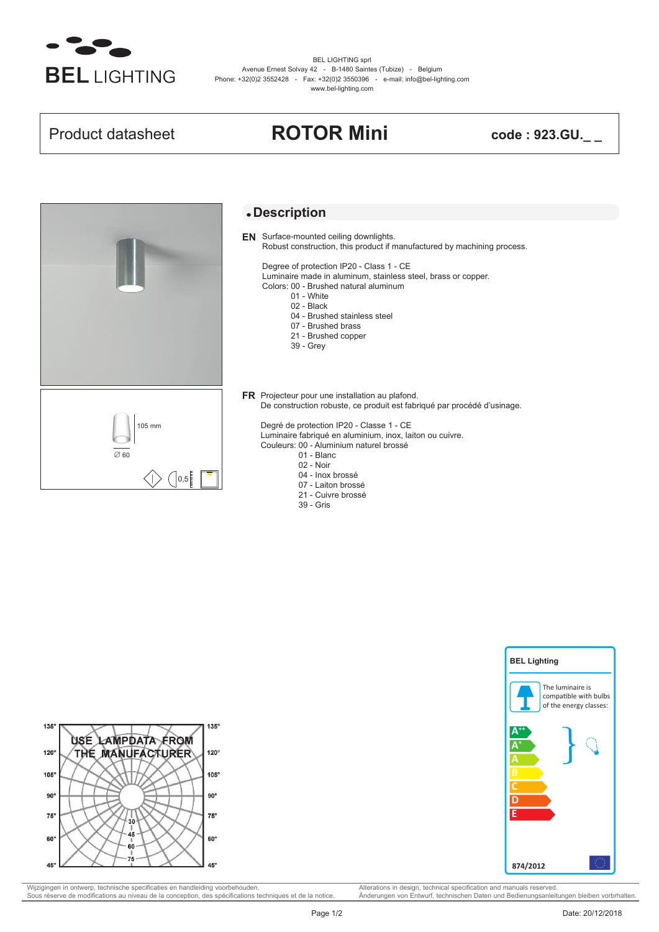

BEL LIGHTING sprl Avenue Ernest Solvay 42 - B-1480 Saintes (Tubize) - Belgium Phone: +32(0)2 3552428 - Fax: +32(0)2 3550396 - e-mail: info@bel-lighting.com www.bel-lighting.com

# Product datasheet **ROTOR Mini code : 923.GU.\_ \_**



### **Description**

**EN** Surface-mounted ceiling downlights. Robust construction, this product if manufactured by machining process.

Degree of protection IP20 - Class 1 - CE

Luminaire made in aluminum, stainless steel, brass or copper.

- Colors: 00 Brushed natural aluminum
	- 01 White
	- 02 Black
	- 04 Brushed stainless steel
	- 07 Brushed brass
	- 21 Brushed copper
	- 39 Grey
- **FR** Projecteur pour une installation au plafond. De construction robuste, ce produit est fabriqué par procédé d'usinage.

Degré de protection IP20 - Classe 1 - CE Luminaire fabriqué en aluminium, inox, laiton ou cuivre.

Couleurs: 00 - Aluminium naturel brossé

- 01 Blanc
- 02 Noir
- 04 Inox brossé
- 07 Laiton brossé
- 21 Cuivre brossé
- 39 Gris





Wijzigingen in ontwerp, technische specificaties en handleiding voorbehouden. Alterations in design, technical specification and manuals reserved.<br>
Sous réserve de modifications au niveau de la conception, des spécificatio Sous réserve de modifications au niveau de la conception, des spécifications techniques et de la notice.